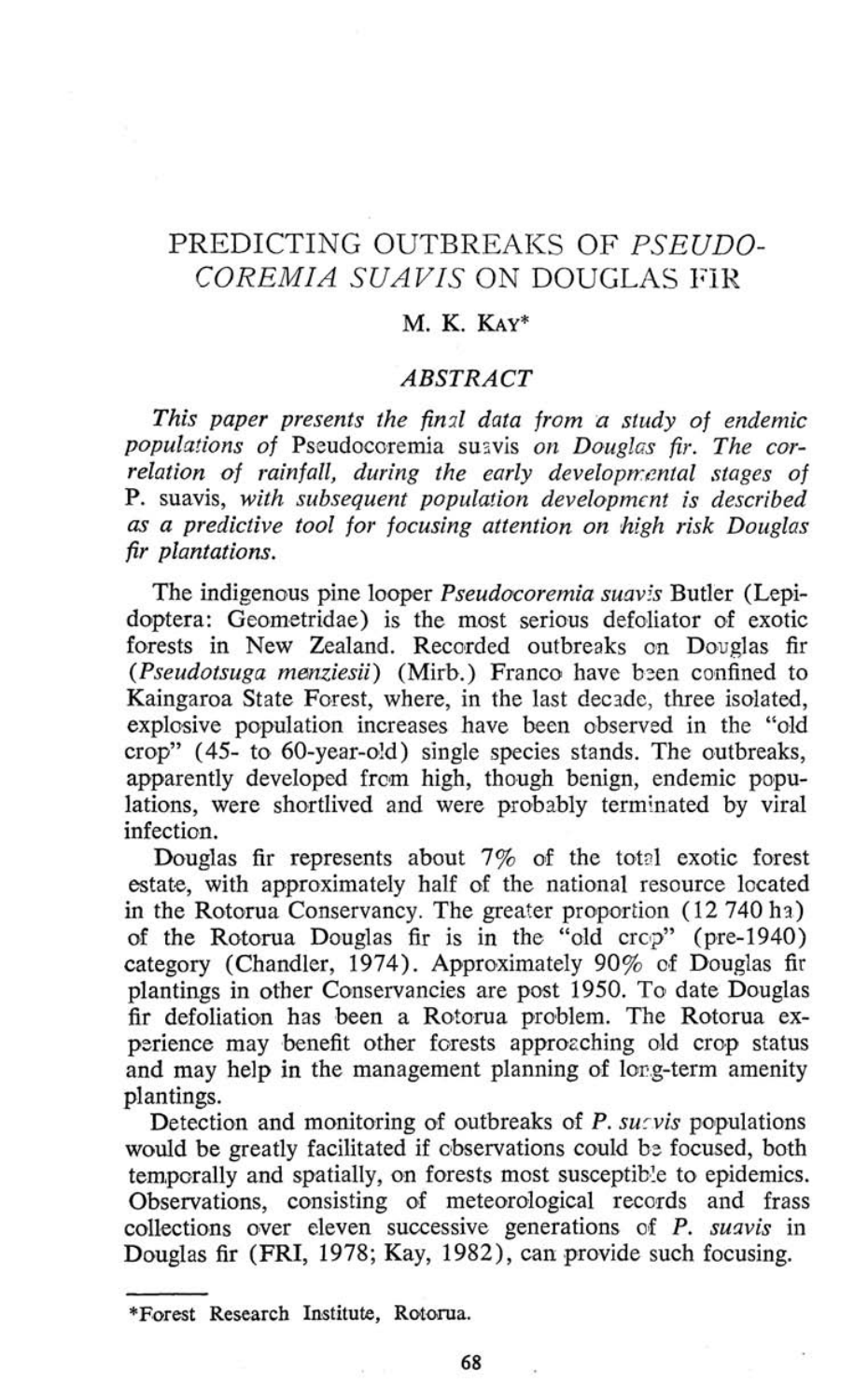# PREDICTING OUTBREAKS OF *PSEUDO-COREMIA SUAVIS* ON DOUGLAS FIR

#### M. K. KAY\*

### *ABSTRACT*

*This paper presents the final data from a study oj endemic populations of* Pseudocoremia suavis *on Douglas fir. The correlation oj rainfall, during the early developmental stages of*  P. suavis, *with subsequent population development is described as a predictive tool for focusing attention on high risk Douglas fir plantations.* 

The indigenous pine looper *Pseudocoremia suavis* Butler (Lepidoptera: Geometridae) is the most serious defoliator of exotic forests in New Zealand. Recorded outbreaks on Douglas fir *{Pseudotsuga menziesii)* (Mirb.) Franco have been confined to Kaingaroa State Forest, where, in the last decade, three isolated, explosive population increases have been observed in the "old crop" (45- to 60-year-old) single species stands. The outbreaks, apparently developed from high, though benign, endemic populations, were shortlived and were probably terminated by viral infection.

Douglas fir represents about 7% of the total exotic forest estate, with approximately half of the national resource located in the Rotorua Conservancy. The greater proportion (12 740 ha) of the Rotorua Douglas fir is in the "old crop" (pre-1940) category (Chandler, 1974). Approximately 90% of Douglas fir plantings in other Conservancies are post 1950. To date Douglas fir defoliation has been a Rotorua problem. The Rotorua experience may benefit other forests approaching old crop status and may help in the management planning of long-term amenity plantings.

Detection and monitoring of outbreaks of *P. sucvis* populations would be greatly facilitated if observations could be focused, both temporally and spatially, on forests most susceptible to epidemics. Observations, consisting of meteorological records and frass collections over eleven successive generations of *P. suavis* in Douglas fir (FRI, 1978; Kay, 1982), can provide such focusing.

<sup>\*</sup> Forest Research Institute, Rotorua.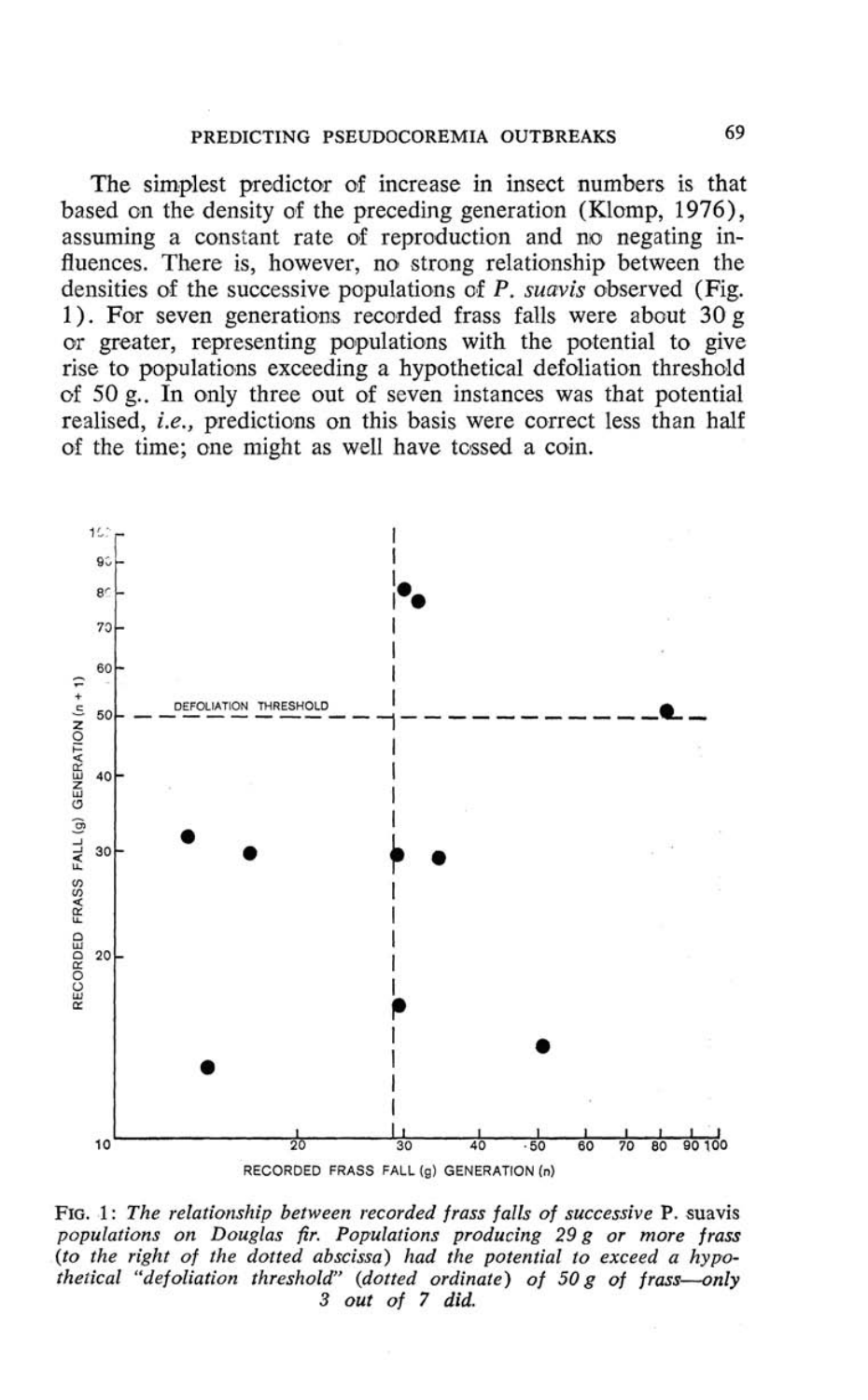The simplest predictor of increase in insect numbers is that based on the density of the preceding generation (Klomp, 1976), assuming a constant rate of reproduction and no negating influences. There is, however, no strong relationship between the densities of the successive populations of *P. suavis* observed (Fig. 1). For seven generations recorded frass falls were about 30 g or greater, representing populations with the potential to give rise to populations exceeding a hypothetical defoliation threshold of 50 $\mu$ . In only three out of seven instances was that potential realised, *i.e.,* predictions on this basis were correct less than half of the time; one might as well have tossed a coin.



FIG. 1: *The relationship between recorded frass falls of successive* P. suavis *populations on Douglas fir. Populations producing 29 g or more frass {to the right of the dotted abscissa) had the potential to exceed a hypothetical "defoliation threshold" {dotted ordinate) of 50 g of frass*—*only 3 out of 7 did.*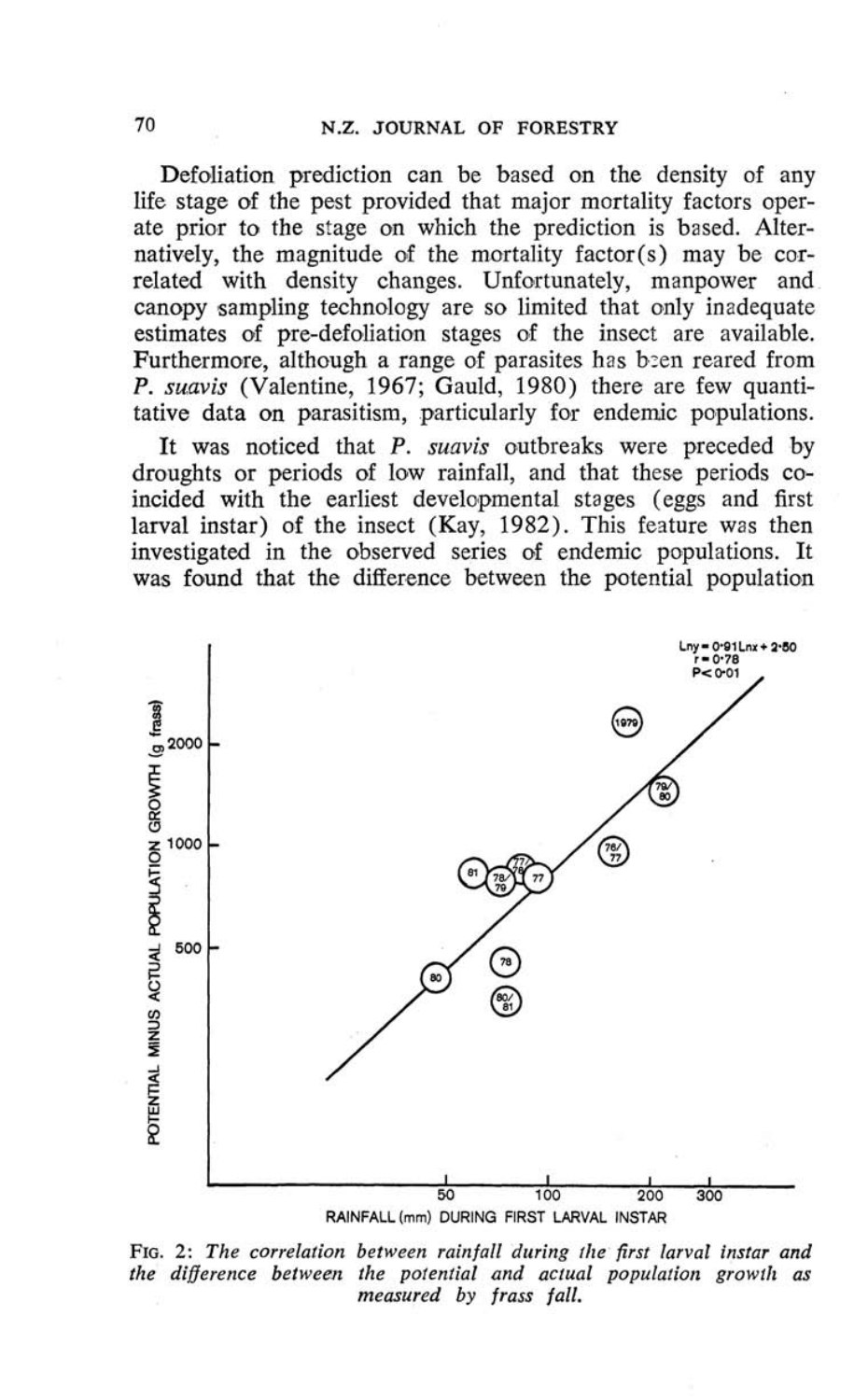Defoliation prediction can be based on the density of any life stage of the pest provided that major mortality factors operate prior to the stage on which the prediction is based. Alternatively, the magnitude of the mortality factor(s) may be correlated with density changes. Unfortunately, manpower and canopy sampling technology are so limited that only inadequate estimates of pre-defoliation stages of the insect are available. Furthermore, although a range of parasites has been reared from P. *suavis* (Valentine, 1967; Gauld, 1980) there are few quantitative data on parasitism, particularly for endemic populations.

It was noticed that P. *suavis* outbreaks were preceded by droughts or periods of low rainfall, and that these periods coincided with the earliest developmental stages (eggs and first larval instar) of the insect (Kay, 1982). This feature was then investigated in the observed series of endemic populations. It was found that the difference between the potential population



FIG. 2: *The correlation between rainfall during the first larval instar and the difference between the potential and actual population growth as measured by frass fall.*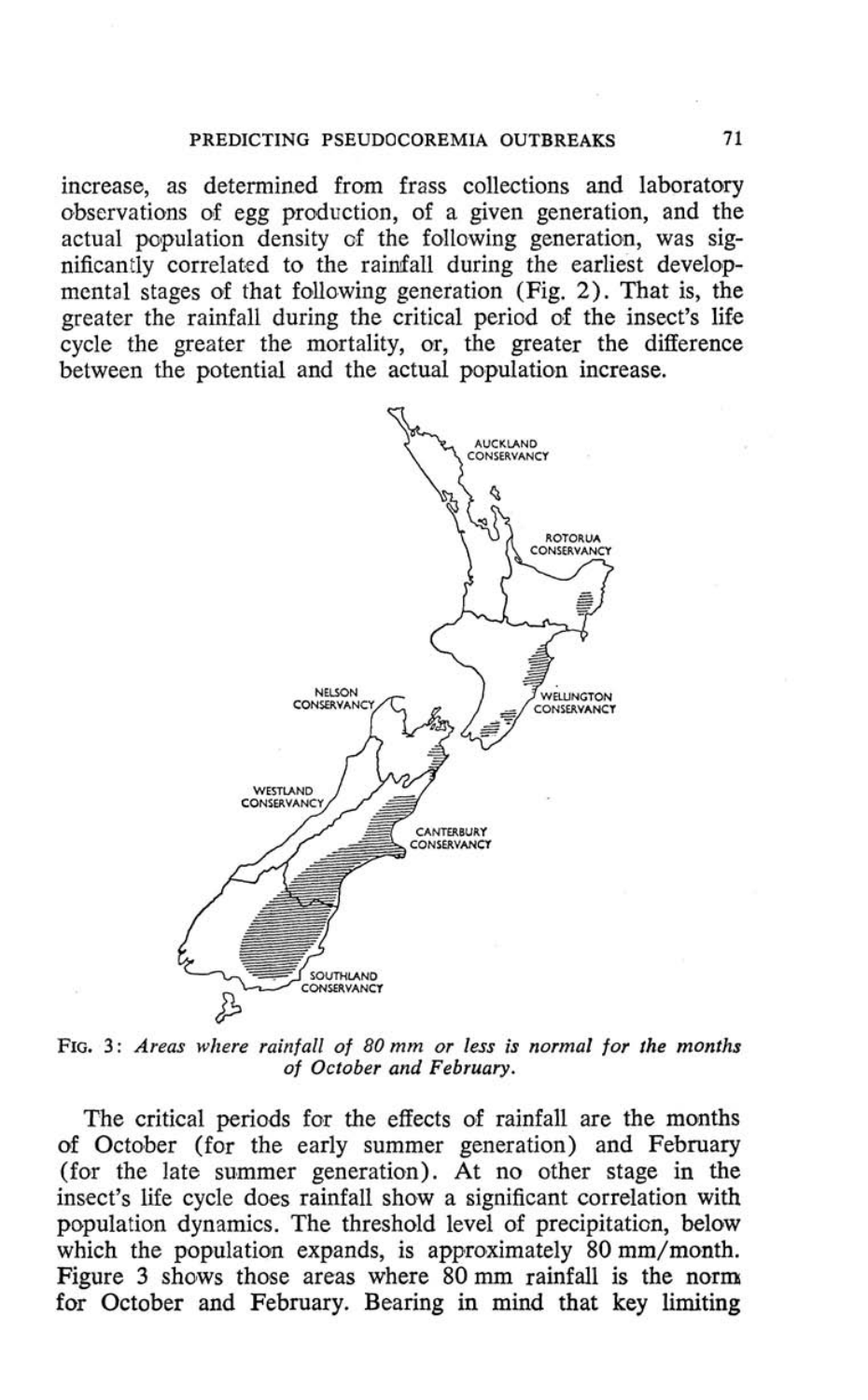#### **PREDICTING PSEUDOCOREMIA OUTBREAKS 71**

increase, as determined from frass collections and laboratory observations of egg production, of a given generation, and the actual population density of the following generation, was significantly correlated to the rainfall during the earliest developmental stages of that following generation (Fig. 2). That is, the greater the rainfall during the critical period of the insect's life cycle the greater the mortality, or, the greater the difference between the potential and the actual population increase.



**FIG. 3:** *Areas where rainfall of 80 mm or less is normal for the months of October and February.* 

The critical periods for the effects of rainfall are the months of October (for the early summer generation) and February (for the late summer generation). At no other stage in the insect's life cycle does rainfall show a significant correlation with population dynamics. The threshold level of precipitation, below which the population expands, is approximately 80 mm/month. Figure 3 shows those areas where 80 mm rainfall is the norm for October and February. Bearing in mind that key limiting